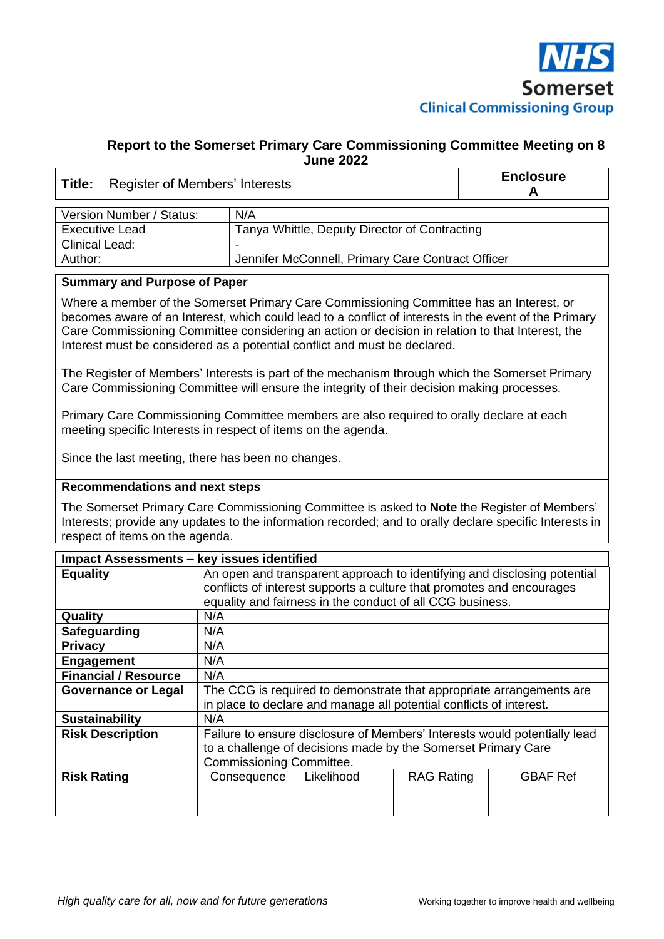

#### **Report to the Somerset Primary Care Commissioning Committee Meeting on 8 June 2022**

# **Title:** Register of Members' Interests **Enclosure**

**A**

| Version Number / Status: | N/A                                               |
|--------------------------|---------------------------------------------------|
| <b>Executive Lead</b>    | Tanya Whittle, Deputy Director of Contracting     |
| Clinical Lead:           | -                                                 |
| Author:                  | Jennifer McConnell, Primary Care Contract Officer |

#### **Summary and Purpose of Paper**

Where a member of the Somerset Primary Care Commissioning Committee has an Interest, or becomes aware of an Interest, which could lead to a conflict of interests in the event of the Primary Care Commissioning Committee considering an action or decision in relation to that Interest, the Interest must be considered as a potential conflict and must be declared.

The Register of Members' Interests is part of the mechanism through which the Somerset Primary Care Commissioning Committee will ensure the integrity of their decision making processes.

Primary Care Commissioning Committee members are also required to orally declare at each meeting specific Interests in respect of items on the agenda.

Since the last meeting, there has been no changes.

#### **Recommendations and next steps**

The Somerset Primary Care Commissioning Committee is asked to **Note** the Register of Members' Interests; provide any updates to the information recorded; and to orally declare specific Interests in respect of items on the agenda.

| Impact Assessments - key issues identified |                                                                                                                                                                                                                |            |                   |                 |  |
|--------------------------------------------|----------------------------------------------------------------------------------------------------------------------------------------------------------------------------------------------------------------|------------|-------------------|-----------------|--|
| <b>Equality</b>                            | An open and transparent approach to identifying and disclosing potential<br>conflicts of interest supports a culture that promotes and encourages<br>equality and fairness in the conduct of all CCG business. |            |                   |                 |  |
| Quality                                    | N/A                                                                                                                                                                                                            |            |                   |                 |  |
| Safeguarding                               | N/A                                                                                                                                                                                                            |            |                   |                 |  |
| <b>Privacy</b>                             | N/A                                                                                                                                                                                                            |            |                   |                 |  |
| <b>Engagement</b>                          | N/A                                                                                                                                                                                                            |            |                   |                 |  |
| <b>Financial / Resource</b>                | N/A                                                                                                                                                                                                            |            |                   |                 |  |
| <b>Governance or Legal</b>                 | The CCG is required to demonstrate that appropriate arrangements are<br>in place to declare and manage all potential conflicts of interest.                                                                    |            |                   |                 |  |
| <b>Sustainability</b>                      | N/A                                                                                                                                                                                                            |            |                   |                 |  |
| <b>Risk Description</b>                    | Failure to ensure disclosure of Members' Interests would potentially lead<br>to a challenge of decisions made by the Somerset Primary Care<br>Commissioning Committee.                                         |            |                   |                 |  |
| <b>Risk Rating</b>                         | Consequence                                                                                                                                                                                                    | Likelihood | <b>RAG Rating</b> | <b>GBAF Ref</b> |  |
|                                            |                                                                                                                                                                                                                |            |                   |                 |  |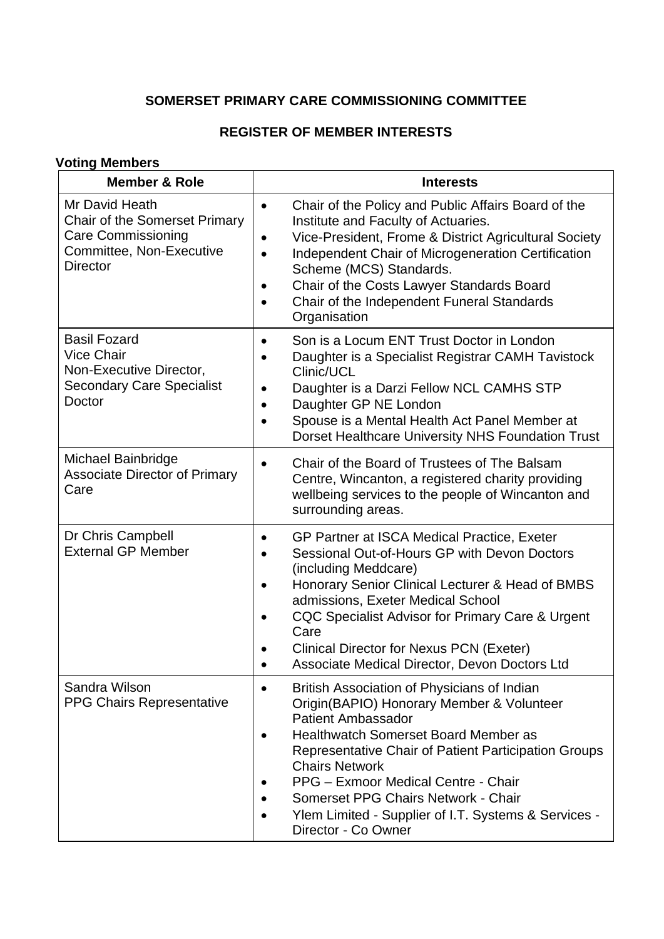### **SOMERSET PRIMARY CARE COMMISSIONING COMMITTEE**

### **REGISTER OF MEMBER INTERESTS**

### **Voting Members**

| <b>Member &amp; Role</b>                                                                                                           | <b>Interests</b>                                                                                                                                                                                                                                                                                                                                                                                                    |
|------------------------------------------------------------------------------------------------------------------------------------|---------------------------------------------------------------------------------------------------------------------------------------------------------------------------------------------------------------------------------------------------------------------------------------------------------------------------------------------------------------------------------------------------------------------|
| Mr David Heath<br><b>Chair of the Somerset Primary</b><br><b>Care Commissioning</b><br>Committee, Non-Executive<br><b>Director</b> | Chair of the Policy and Public Affairs Board of the<br>$\bullet$<br>Institute and Faculty of Actuaries.<br>Vice-President, Frome & District Agricultural Society<br>Independent Chair of Microgeneration Certification<br>$\bullet$<br>Scheme (MCS) Standards.<br>Chair of the Costs Lawyer Standards Board<br>$\bullet$<br>Chair of the Independent Funeral Standards<br>$\bullet$<br>Organisation                 |
| <b>Basil Fozard</b><br><b>Vice Chair</b><br>Non-Executive Director,<br><b>Secondary Care Specialist</b><br>Doctor                  | Son is a Locum ENT Trust Doctor in London<br>$\bullet$<br>Daughter is a Specialist Registrar CAMH Tavistock<br>Clinic/UCL<br>Daughter is a Darzi Fellow NCL CAMHS STP<br>Daughter GP NE London<br>Spouse is a Mental Health Act Panel Member at<br>Dorset Healthcare University NHS Foundation Trust                                                                                                                |
| Michael Bainbridge<br><b>Associate Director of Primary</b><br>Care                                                                 | Chair of the Board of Trustees of The Balsam<br>Centre, Wincanton, a registered charity providing<br>wellbeing services to the people of Wincanton and<br>surrounding areas.                                                                                                                                                                                                                                        |
| Dr Chris Campbell<br><b>External GP Member</b>                                                                                     | GP Partner at ISCA Medical Practice, Exeter<br>Sessional Out-of-Hours GP with Devon Doctors<br>(including Meddcare)<br>Honorary Senior Clinical Lecturer & Head of BMBS<br>admissions, Exeter Medical School<br>CQC Specialist Advisor for Primary Care & Urgent<br>Care<br><b>Clinical Director for Nexus PCN (Exeter)</b><br>Associate Medical Director, Devon Doctors Ltd                                        |
| Sandra Wilson<br><b>PPG Chairs Representative</b>                                                                                  | British Association of Physicians of Indian<br>Origin (BAPIO) Honorary Member & Volunteer<br><b>Patient Ambassador</b><br><b>Healthwatch Somerset Board Member as</b><br>Representative Chair of Patient Participation Groups<br><b>Chairs Network</b><br>PPG - Exmoor Medical Centre - Chair<br>Somerset PPG Chairs Network - Chair<br>Ylem Limited - Supplier of I.T. Systems & Services -<br>Director - Co Owner |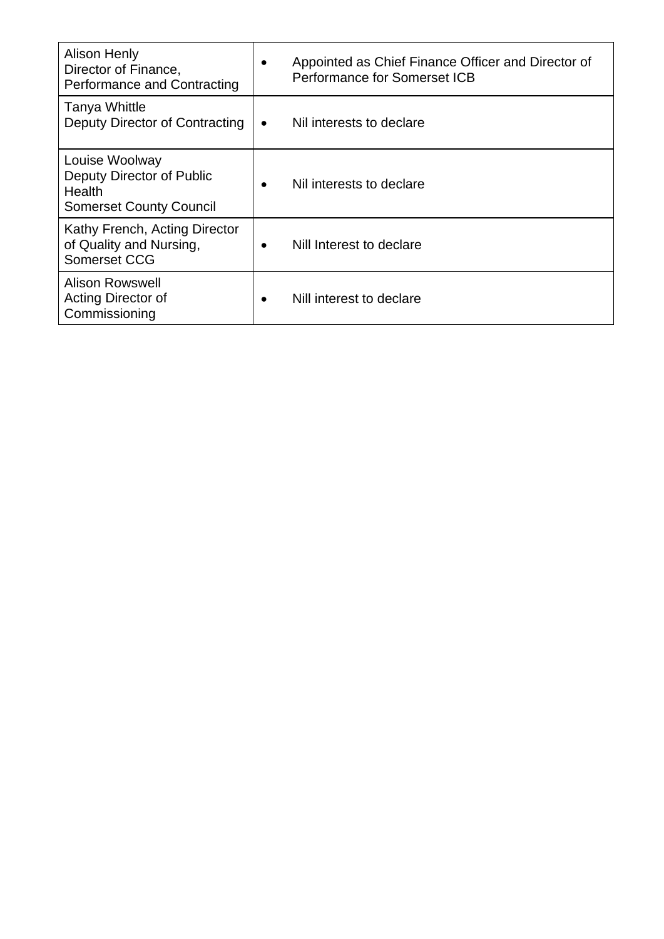| <b>Alison Henly</b><br>Director of Finance,<br><b>Performance and Contracting</b>       | $\bullet$ | Appointed as Chief Finance Officer and Director of<br>Performance for Somerset ICB |
|-----------------------------------------------------------------------------------------|-----------|------------------------------------------------------------------------------------|
| <b>Tanya Whittle</b><br>Deputy Director of Contracting                                  | $\bullet$ | Nil interests to declare                                                           |
| Louise Woolway<br>Deputy Director of Public<br>Health<br><b>Somerset County Council</b> | $\bullet$ | Nil interests to declare                                                           |
| Kathy French, Acting Director<br>of Quality and Nursing,<br>Somerset CCG                | $\bullet$ | Nill Interest to declare                                                           |
| <b>Alison Rowswell</b><br>Acting Director of<br>Commissioning                           | $\bullet$ | Nill interest to declare                                                           |